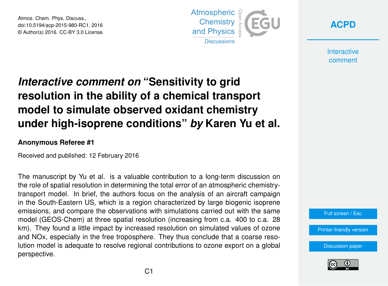Atmos. Chem. Phys. Discuss., doi:10.5194/acp-2015-980-RC1, 2016 © Author(s) 2016. CC-BY 3.0 License.



**[ACPD](http://www.atmos-chem-phys-discuss.net/)**

**Interactive** comment

## *Interactive comment on* **"Sensitivity to grid resolution in the ability of a chemical transport model to simulate observed oxidant chemistry under high-isoprene conditions"** *by* **Karen Yu et al.**

## **Anonymous Referee #1**

Received and published: 12 February 2016

The manuscript by Yu et al. is a valuable contribution to a long-term discussion on the role of spatial resolution in determining the total error of an atmospheric chemistrytransport model. In brief, the authors focus on the analysis of an aircraft campaign in the South-Eastern US, which is a region characterized by large biogenic isoprene emissions, and compare the observations with simulations carried out with the same model (GEOS-Chem) at three spatial resolution (increasing from c.a. 400 to c.a. 28 km). They found a little impact by increased resolution on simulated values of ozone and NOx, especially in the free troposphere. They thus conclude that a coarse resolution model is adequate to resolve regional contributions to ozone export on a global perspective.



[Printer-friendly version](http://www.atmos-chem-phys-discuss.net/acp-2015-980-RC1-print.pdf)

[Discussion paper](http://www.atmos-chem-phys-discuss.net/acp-2015-980)